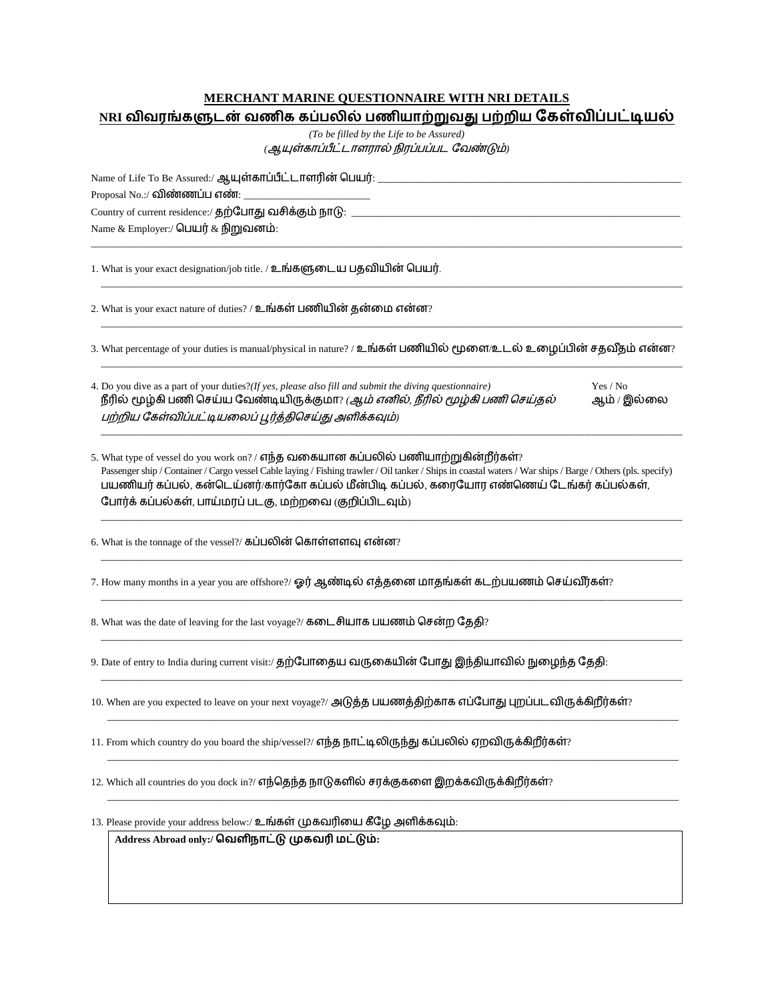## **MERCHANT MARINE QUESTIONNAIRE WITH NRI DETAILS**

|  |  | NRI விவரங்களுடன் வணிக கப்பலில் பணியாற்றுவது பற்றிய கேள்விப்பட்டியல் |  |  |
|--|--|---------------------------------------------------------------------|--|--|

*(To be filled by the Life to be Assured)* (ஆயுள்காப்பீட்டாளரால் நிரப்பப்பட வேண்டும்)

 $\_$  , and the set of the set of the set of the set of the set of the set of the set of the set of the set of the set of the set of the set of the set of the set of the set of the set of the set of the set of the set of th

\_\_\_\_\_\_\_\_\_\_\_\_\_\_\_\_\_\_\_\_\_\_\_\_\_\_\_\_\_\_\_\_\_\_\_\_\_\_\_\_\_\_\_\_\_\_\_\_\_\_\_\_\_\_\_\_\_\_\_\_\_\_\_\_\_\_\_\_\_\_\_\_\_\_\_\_\_\_\_\_\_\_\_\_\_\_\_\_\_\_\_\_\_\_\_\_\_\_\_\_\_\_\_\_\_\_\_\_\_\_\_\_\_\_\_

\_\_\_\_\_\_\_\_\_\_\_\_\_\_\_\_\_\_\_\_\_\_\_\_\_\_\_\_\_\_\_\_\_\_\_\_\_\_\_\_\_\_\_\_\_\_\_\_\_\_\_\_\_\_\_\_\_\_\_\_\_\_\_\_\_\_\_\_\_\_\_\_\_\_\_\_\_\_\_\_\_\_\_\_\_\_\_\_\_\_\_\_\_\_\_\_\_\_\_\_\_\_\_\_\_\_\_\_\_\_\_\_\_\_\_

Name of Life To Be Assured:/ : \_\_\_\_\_\_\_\_\_\_\_\_\_\_\_\_\_\_\_\_\_\_\_\_\_\_\_\_\_\_\_\_\_\_\_\_\_\_\_\_\_\_\_\_\_\_\_\_\_\_\_\_\_\_\_\_\_\_\_\_ Proposal No.:/ விண்ணப்ப எண்: \_\_ Country of current residence:/ தற்போது வசிக்கும் நாடு: \_\_\_ Name & Employer:/ பெயர் & நிறுவனம்:

1. What is your exact designation/job title. / உங்களுடைய பதவியின் பெயர்.

2. What is your exact nature of duties? / உங்கள் பணியின் தன்மை என்ன?

3. What percentage of your duties is manual/physical in nature? / உங்கள் பணியில் மூளை/உடல் உழைப்பின் சதவீதம் என்ன? \_\_\_\_\_\_\_\_\_\_\_\_\_\_\_\_\_\_\_\_\_\_\_\_\_\_\_\_\_\_\_\_\_\_\_\_\_\_\_\_\_\_\_\_\_\_\_\_\_\_\_\_\_\_\_\_\_\_\_\_\_\_\_\_\_\_\_\_\_\_\_\_\_\_\_\_\_\_\_\_\_\_\_\_\_\_\_\_\_\_\_\_\_\_\_\_\_\_\_\_\_\_\_\_\_\_\_\_\_\_\_\_\_\_\_

| 4. Do you dive as a part of your duties?(If yes, please also fill and submit the diving auestionnaire) | Yes / No    |
|--------------------------------------------------------------------------------------------------------|-------------|
| நீரில் மூழ்கி பணி செய்ய வேண்டியிருக்குமா? <i>(ஆம் எனில், நீரில் மூழ்கி பணி செய்தல்</i>                 | ஆம் / இல்லை |
| பற்றிய கேள்விப்பட்டியலைப் பூர்த்திசெய்து அளிக்கவும்)                                                   |             |

\_\_\_\_\_\_\_\_\_\_\_\_\_\_\_\_\_\_\_\_\_\_\_\_\_\_\_\_\_\_\_\_\_\_\_\_\_\_\_\_\_\_\_\_\_\_\_\_\_\_\_\_\_\_\_\_\_\_\_\_\_\_\_\_\_\_\_\_\_\_\_\_\_\_\_\_\_\_\_\_\_\_\_\_\_\_\_\_\_\_\_\_\_\_\_\_\_\_\_\_\_\_\_\_\_\_\_\_\_\_\_\_\_\_\_

5. What type of vessel do you work on? / எந்த வகையான கப்பலில் பணியாற்றுகின்றீர்கள்? Passenger ship / Container / Cargo vessel Cable laying / Fishing trawler / Oil tanker / Ships in coastal waters / War ships / Barge / Others (pls. specify) பயணியர் கப்பல், கன்டெய்னர்/கார்கோ கப்பல் மீன்பிடி கப்பல், கரையோர எண்ணெய் டேங்கர் கப்பல்கள், போர்க் கப்பல்கள், பாய்மரப் படகு, மற்றவை (குறிப்பிடவும்)

\_\_\_\_\_\_\_\_\_\_\_\_\_\_\_\_\_\_\_\_\_\_\_\_\_\_\_\_\_\_\_\_\_\_\_\_\_\_\_\_\_\_\_\_\_\_\_\_\_\_\_\_\_\_\_\_\_\_\_\_\_\_\_\_\_\_\_\_\_\_\_\_\_\_\_\_\_\_\_\_\_\_\_\_\_\_\_\_\_\_\_\_\_\_\_\_\_\_\_\_\_\_\_\_\_\_\_\_\_\_\_\_\_\_\_

\_\_\_\_\_\_\_\_\_\_\_\_\_\_\_\_\_\_\_\_\_\_\_\_\_\_\_\_\_\_\_\_\_\_\_\_\_\_\_\_\_\_\_\_\_\_\_\_\_\_\_\_\_\_\_\_\_\_\_\_\_\_\_\_\_\_\_\_\_\_\_\_\_\_\_\_\_\_\_\_\_\_\_\_\_\_\_\_\_\_\_\_\_\_\_\_\_\_\_\_\_\_\_\_\_\_\_\_\_\_\_\_\_\_\_

\_\_\_\_\_\_\_\_\_\_\_\_\_\_\_\_\_\_\_\_\_\_\_\_\_\_\_\_\_\_\_\_\_\_\_\_\_\_\_\_\_\_\_\_\_\_\_\_\_\_\_\_\_\_\_\_\_\_\_\_\_\_\_\_\_\_\_\_\_\_\_\_\_\_\_\_\_\_\_\_\_\_\_\_\_\_\_\_\_\_\_\_\_\_\_\_\_\_\_\_\_\_\_\_\_\_\_\_\_\_\_\_\_\_\_

\_\_\_\_\_\_\_\_\_\_\_\_\_\_\_\_\_\_\_\_\_\_\_\_\_\_\_\_\_\_\_\_\_\_\_\_\_\_\_\_\_\_\_\_\_\_\_\_\_\_\_\_\_\_\_\_\_\_\_\_\_\_\_\_\_\_\_\_\_\_\_\_\_\_\_\_\_\_\_\_\_\_\_\_\_\_\_\_\_\_\_\_\_\_\_\_\_\_\_\_\_\_\_\_\_\_\_\_\_\_\_\_\_\_\_

\_\_\_\_\_\_\_\_\_\_\_\_\_\_\_\_\_\_\_\_\_\_\_\_\_\_\_\_\_\_\_\_\_\_\_\_\_\_\_\_\_\_\_\_\_\_\_\_\_\_\_\_\_\_\_\_\_\_\_\_\_\_\_\_\_\_\_\_\_\_\_\_\_\_\_\_\_\_\_\_\_\_\_\_\_\_\_\_\_\_\_\_\_\_\_\_\_\_\_\_\_\_\_\_\_\_\_\_\_\_\_\_\_\_\_

\_\_\_\_\_\_\_\_\_\_\_\_\_\_\_\_\_\_\_\_\_\_\_\_\_\_\_\_\_\_\_\_\_\_\_\_\_\_\_\_\_\_\_\_\_\_\_\_\_\_\_\_\_\_\_\_\_\_\_\_\_\_\_\_\_\_\_\_\_\_\_\_\_\_\_\_\_\_\_\_\_\_\_\_\_\_\_\_\_\_\_\_\_\_\_\_\_\_\_\_\_\_\_\_\_\_\_\_\_\_\_\_\_

\_\_\_\_\_\_\_\_\_\_\_\_\_\_\_\_\_\_\_\_\_\_\_\_\_\_\_\_\_\_\_\_\_\_\_\_\_\_\_\_\_\_\_\_\_\_\_\_\_\_\_\_\_\_\_\_\_\_\_\_\_\_\_\_\_\_\_\_\_\_\_\_\_\_\_\_\_\_\_\_\_\_\_\_\_\_\_\_\_\_\_\_\_\_\_\_\_\_\_\_\_\_\_\_\_\_\_\_\_\_\_\_\_

\_\_\_\_\_\_\_\_\_\_\_\_\_\_\_\_\_\_\_\_\_\_\_\_\_\_\_\_\_\_\_\_\_\_\_\_\_\_\_\_\_\_\_\_\_\_\_\_\_\_\_\_\_\_\_\_\_\_\_\_\_\_\_\_\_\_\_\_\_\_\_\_\_\_\_\_\_\_\_\_\_\_\_\_\_\_\_\_\_\_\_\_\_\_\_\_\_\_\_\_\_\_\_\_\_\_\_\_\_\_\_\_\_

6. What is the tonnage of the vessel?/ கப்பலின் கொள்ளளவு என்ன?

7. How many months in a year you are offshore?/ ஓர் ஆண்டில் எத்தனை மாதங்கள் கடற்பயணம் செய்வீர்கள்?

8. What was the date of leaving for the last voyage?/ கடைசியாக பயணம் சென்ற தேதி?

9. Date of entry to India during current visit:/ தற்போதைய வருகையின் போது இந்தியாவில் நுழைந்த தேதி:

10. When are you expected to leave on your next voyage?/ அடுத்த பயணத்திற்காக எப்போது புறப்படவிருக்கிறீர்கள்?

11. From which country do you board the ship/vessel?/ எந்த நாட்டிலிருந்து கப்பலில் ஏறவிருக்கிறீர்கள்?

12. Which all countries do you dock in?/ எந்தெந்த நாடுகளில் சரக்குகளை இறக்கவிருக்கிறீர்கள்?

13. Please provide your address below:/ உங்கள் முகவரியை கீழே அளிக்கவும்:

**Address Abroad only:/ வெளிநாட்டு முகவரி மட்டும்:**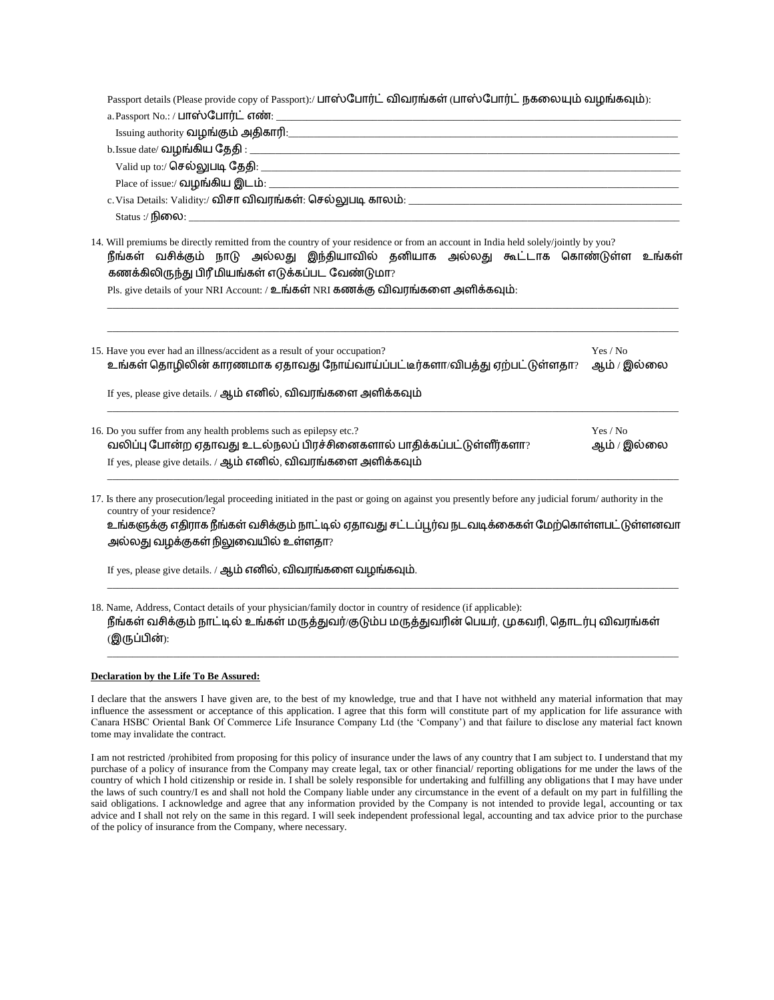| Passport details (Please provide copy of Passport):/ பாஸ்போர்ட் விவரங்கள் (பாஸ்போர்ட் நகலையும் வழங்கவும்):                                                                                                                                                                 |                         |  |  |  |  |  |
|----------------------------------------------------------------------------------------------------------------------------------------------------------------------------------------------------------------------------------------------------------------------------|-------------------------|--|--|--|--|--|
|                                                                                                                                                                                                                                                                            |                         |  |  |  |  |  |
|                                                                                                                                                                                                                                                                            |                         |  |  |  |  |  |
|                                                                                                                                                                                                                                                                            |                         |  |  |  |  |  |
|                                                                                                                                                                                                                                                                            |                         |  |  |  |  |  |
|                                                                                                                                                                                                                                                                            |                         |  |  |  |  |  |
|                                                                                                                                                                                                                                                                            |                         |  |  |  |  |  |
|                                                                                                                                                                                                                                                                            |                         |  |  |  |  |  |
| 14. Will premiums be directly remitted from the country of your residence or from an account in India held solely/jointly by you?<br>நீங்கள் வசிக்கும் நாடு அல்லது இந்தியாவில் தனியாக அல்லது கூட்டாக கொண்டுள்ள உங்கள்<br>கணக்கிலிருந்து பிரீ மியங்கள் எடுக்கப்பட வேண்டுமா? |                         |  |  |  |  |  |
| Pls. give details of your NRI Account: / உங்கள் NRI கணக்கு விவரங்களை அளிக்கவும்:                                                                                                                                                                                           |                         |  |  |  |  |  |
| 15. Have you ever had an illness/accident as a result of your occupation?<br>உங்கள் தொழிலின் காரணமாக ஏதாவது நோய்வாய்ப்பட்டீர்களா/விபத்து ஏற்பட்டுள்ளதா?<br>If yes, please give details. / ஆம் எனில், விவரங்களை அளிக்கவும்                                                  | Yes / No<br>ஆம் / இல்லை |  |  |  |  |  |
| 16. Do you suffer from any health problems such as epilepsy etc.?<br>வலிப்பு போன்ற ஏதாவது உடல்நலப் பிரச்சினைகளால் பாதிக்கப்பட்டுள்ளீர்களா?                                                                                                                                 | Yes / No<br>ஆம் / இல்லை |  |  |  |  |  |
| If yes, please give details. / ஆம் எனில், விவரங்களை அளிக்கவும்                                                                                                                                                                                                             |                         |  |  |  |  |  |
| 17. Is there any prosecution/legal proceeding initiated in the past or going on against you presently before any judicial forum/authority in the<br>country of your residence?                                                                                             |                         |  |  |  |  |  |
| உங்களுக்கு எதிராக நீங்கள் வசிக்கும் நாட்டில் ஏதாவது சட்டப்பூர்வ நடவடிக்கைகள் மேற்கொள்ளபட்டுள்ளனவா                                                                                                                                                                          |                         |  |  |  |  |  |
| அல்லது வழக்குகள் நிலுவையில் உள்ளதா?                                                                                                                                                                                                                                        |                         |  |  |  |  |  |
| If yes, please give details. / ஆம் எனில், விவரங்களை வழங்கவும்.                                                                                                                                                                                                             |                         |  |  |  |  |  |
|                                                                                                                                                                                                                                                                            |                         |  |  |  |  |  |

18. Name, Address, Contact details of your physician/family doctor in country of residence (if applicable): நீங்கள் வசிக்கும் நாட்டில் உங்கள் மருத்துவர்/குடும்ப மருத்துவரின் பெயர், முகவரி, தொடர்பு விவரங்கள் (இருப்பின்):

## **Declaration by the Life To Be Assured:**

I declare that the answers I have given are, to the best of my knowledge, true and that I have not withheld any material information that may influence the assessment or acceptance of this application. I agree that this form will constitute part of my application for life assurance with Canara HSBC Oriental Bank Of Commerce Life Insurance Company Ltd (the 'Company') and that failure to disclose any material fact known tome may invalidate the contract.

\_\_\_\_\_\_\_\_\_\_\_\_\_\_\_\_\_\_\_\_\_\_\_\_\_\_\_\_\_\_\_\_\_\_\_\_\_\_\_\_\_\_\_\_\_\_\_\_\_\_\_\_\_\_\_\_\_\_\_\_\_\_\_\_\_\_\_\_\_\_\_\_\_\_\_\_\_\_\_\_\_\_\_\_\_\_\_\_\_\_\_\_\_\_\_\_\_\_\_\_\_\_\_\_\_\_\_\_\_\_\_\_\_

I am not restricted /prohibited from proposing for this policy of insurance under the laws of any country that I am subject to. I understand that my purchase of a policy of insurance from the Company may create legal, tax or other financial/ reporting obligations for me under the laws of the country of which I hold citizenship or reside in. I shall be solely responsible for undertaking and fulfilling any obligations that I may have under the laws of such country/I es and shall not hold the Company liable under any circumstance in the event of a default on my part in fulfilling the said obligations. I acknowledge and agree that any information provided by the Company is not intended to provide legal, accounting or tax advice and I shall not rely on the same in this regard. I will seek independent professional legal, accounting and tax advice prior to the purchase of the policy of insurance from the Company, where necessary.